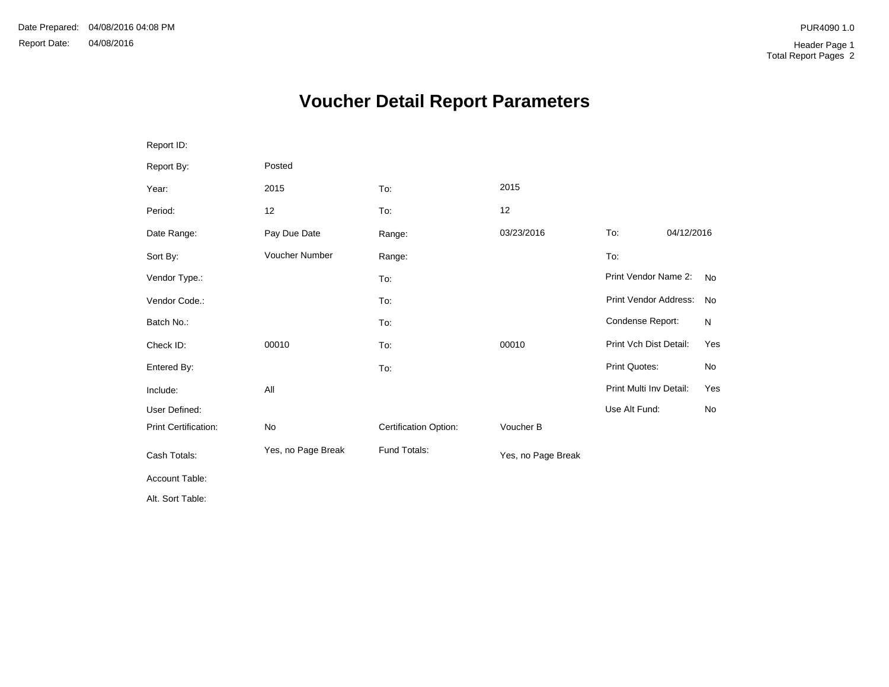## **Voucher Detail Report Parameters**

| Report ID:           |                    |                       |                    |                         |            |           |
|----------------------|--------------------|-----------------------|--------------------|-------------------------|------------|-----------|
| Report By:           | Posted             |                       |                    |                         |            |           |
| Year:                | 2015               | To:                   | 2015               |                         |            |           |
| Period:              | 12                 | To:                   | 12                 |                         |            |           |
| Date Range:          | Pay Due Date       | Range:                | 03/23/2016         | To:                     | 04/12/2016 |           |
| Sort By:             | Voucher Number     | Range:                |                    | To:                     |            |           |
| Vendor Type.:        |                    | To:                   |                    | Print Vendor Name 2:    |            | <b>No</b> |
| Vendor Code.:        |                    | To:                   |                    | Print Vendor Address:   |            | No        |
| Batch No.:           |                    | To:                   |                    | Condense Report:        |            | N         |
| Check ID:            | 00010              | To:                   | 00010              | Print Vch Dist Detail:  |            | Yes       |
| Entered By:          |                    | To:                   |                    | Print Quotes:           |            | No        |
| Include:             | All                |                       |                    | Print Multi Inv Detail: |            | Yes       |
| User Defined:        |                    |                       |                    | Use Alt Fund:           |            | No        |
| Print Certification: | No                 | Certification Option: | Voucher B          |                         |            |           |
| Cash Totals:         | Yes, no Page Break | Fund Totals:          | Yes, no Page Break |                         |            |           |
| Account Table:       |                    |                       |                    |                         |            |           |
| Alt. Sort Table:     |                    |                       |                    |                         |            |           |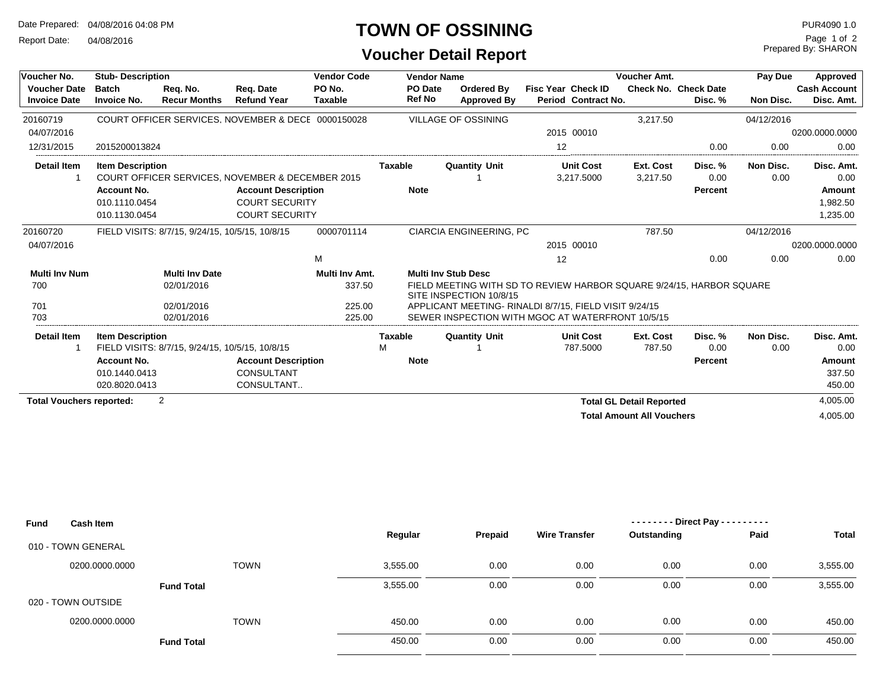Date Prepared: 04/08/2016 04:08 PM

Report Date: 04/08/2016

## **TOWN OF OSSINING**

**Voucher Detail Report**

| Voucher No.                                | <b>Stub-Description</b>            |                                                 |                                                                                | <b>Vendor Code</b>       |                          | <b>Vendor Name</b>                                    | <b>Voucher Amt.</b>                                                  | Pay Due                          | Approved                               |            |                                   |
|--------------------------------------------|------------------------------------|-------------------------------------------------|--------------------------------------------------------------------------------|--------------------------|--------------------------|-------------------------------------------------------|----------------------------------------------------------------------|----------------------------------|----------------------------------------|------------|-----------------------------------|
| <b>Voucher Date</b><br><b>Invoice Date</b> | <b>Batch</b><br><b>Invoice No.</b> | Req. No.<br><b>Recur Months</b>                 | Reg. Date<br><b>Refund Year</b>                                                | PO No.<br><b>Taxable</b> | PO Date<br><b>Ref No</b> | Ordered By<br>Approved By                             | <b>Fisc Year Check ID</b><br>Period Contract No.                     |                                  | <b>Check No. Check Date</b><br>Disc. % | Non Disc.  | <b>Cash Account</b><br>Disc. Amt. |
| 20160719                                   |                                    |                                                 | COURT OFFICER SERVICES, NOVEMBER & DECE 0000150028                             |                          |                          | VILLAGE OF OSSINING                                   |                                                                      | 3.217.50                         |                                        | 04/12/2016 |                                   |
| 04/07/2016                                 |                                    |                                                 |                                                                                |                          |                          |                                                       | 2015 00010                                                           |                                  |                                        |            | 0200.0000.0000                    |
| 12/31/2015                                 | 2015200013824                      |                                                 |                                                                                |                          |                          |                                                       | 12                                                                   |                                  | 0.00                                   | 0.00       | 0.00                              |
| <b>Detail Item</b>                         | <b>Item Description</b>            |                                                 |                                                                                |                          | <b>Taxable</b>           | <b>Quantity Unit</b>                                  | <b>Unit Cost</b>                                                     | Ext. Cost                        | Disc. %                                | Non Disc.  | Disc. Amt.                        |
|                                            | <b>Account No.</b>                 |                                                 | COURT OFFICER SERVICES, NOVEMBER & DECEMBER 2015<br><b>Account Description</b> |                          | <b>Note</b>              |                                                       | 3.217.5000                                                           | 3,217.50                         | 0.00<br>Percent                        | 0.00       | 0.00<br>Amount                    |
|                                            | 010.1110.0454                      |                                                 | <b>COURT SECURITY</b>                                                          |                          |                          |                                                       |                                                                      |                                  |                                        |            | 1,982.50                          |
|                                            | 010.1130.0454                      |                                                 | <b>COURT SECURITY</b>                                                          |                          |                          |                                                       |                                                                      |                                  |                                        |            | 1,235.00                          |
| 20160720                                   |                                    | FIELD VISITS: 8/7/15, 9/24/15, 10/5/15, 10/8/15 |                                                                                | 0000701114               |                          | <b>CIARCIA ENGINEERING, PC</b>                        |                                                                      | 787.50                           |                                        | 04/12/2016 |                                   |
| 04/07/2016                                 |                                    |                                                 |                                                                                |                          |                          |                                                       | 2015 00010                                                           |                                  |                                        |            | 0200.0000.0000                    |
|                                            |                                    |                                                 |                                                                                | M                        |                          |                                                       | 12                                                                   |                                  | 0.00                                   | 0.00       | 0.00                              |
| <b>Multi Inv Num</b>                       |                                    | <b>Multi Inv Date</b>                           |                                                                                | Multi Inv Amt.           |                          | <b>Multi Inv Stub Desc</b>                            |                                                                      |                                  |                                        |            |                                   |
| 700                                        |                                    | 02/01/2016                                      |                                                                                | 337.50                   |                          | SITE INSPECTION 10/8/15                               | FIELD MEETING WITH SD TO REVIEW HARBOR SQUARE 9/24/15, HARBOR SQUARE |                                  |                                        |            |                                   |
| 701                                        |                                    | 02/01/2016                                      |                                                                                | 225.00                   |                          | APPLICANT MEETING-RINALDI 8/7/15. FIELD VISIT 9/24/15 |                                                                      |                                  |                                        |            |                                   |
| 703                                        |                                    | 02/01/2016                                      |                                                                                | 225.00                   |                          |                                                       | SEWER INSPECTION WITH MGOC AT WATERFRONT 10/5/15                     |                                  |                                        |            |                                   |
| Detail Item                                | <b>Item Description</b>            |                                                 |                                                                                |                          | <b>Taxable</b>           | <b>Quantity Unit</b>                                  | <b>Unit Cost</b>                                                     | Ext. Cost                        | Disc. %                                | Non Disc.  | Disc. Amt.                        |
|                                            |                                    | FIELD VISITS: 8/7/15, 9/24/15, 10/5/15, 10/8/15 |                                                                                |                          | M                        |                                                       | 787.5000                                                             | 787.50                           | 0.00                                   | 0.00       | 0.00                              |
|                                            | <b>Account No.</b>                 |                                                 | <b>Account Description</b>                                                     |                          | <b>Note</b>              |                                                       |                                                                      |                                  | Percent                                |            | Amount                            |
|                                            | 010.1440.0413                      |                                                 | CONSULTANT                                                                     |                          |                          |                                                       |                                                                      |                                  |                                        |            | 337.50                            |
|                                            | 020.8020.0413                      |                                                 | CONSULTANT                                                                     |                          |                          |                                                       |                                                                      |                                  |                                        |            | 450.00                            |
| <b>Total Vouchers reported:</b>            |                                    | 2                                               |                                                                                |                          |                          |                                                       |                                                                      | <b>Total GL Detail Reported</b>  |                                        |            | 4,005.00                          |
|                                            |                                    |                                                 |                                                                                |                          |                          |                                                       |                                                                      | <b>Total Amount All Vouchers</b> |                                        |            | 4,005.00                          |

| Fund | <b>Cash Item</b>   |                   |          |         | - Direct Pay - - - - - - - - - |             |      |              |  |  |
|------|--------------------|-------------------|----------|---------|--------------------------------|-------------|------|--------------|--|--|
|      |                    |                   | Regular  | Prepaid | <b>Wire Transfer</b>           | Outstanding | Paid | <b>Total</b> |  |  |
|      | 010 - TOWN GENERAL |                   |          |         |                                |             |      |              |  |  |
|      | 0200.0000.0000     | <b>TOWN</b>       | 3,555.00 | 0.00    | 0.00                           | 0.00        | 0.00 | 3,555.00     |  |  |
|      |                    | <b>Fund Total</b> | 3,555.00 | 0.00    | 0.00                           | 0.00        | 0.00 | 3,555.00     |  |  |
|      | 020 - TOWN OUTSIDE |                   |          |         |                                |             |      |              |  |  |
|      | 0200.0000.0000     | <b>TOWN</b>       | 450.00   | 0.00    | 0.00                           | 0.00        | 0.00 | 450.00       |  |  |
|      |                    | <b>Fund Total</b> | 450.00   | 0.00    | 0.00                           | 0.00        | 0.00 | 450.00       |  |  |